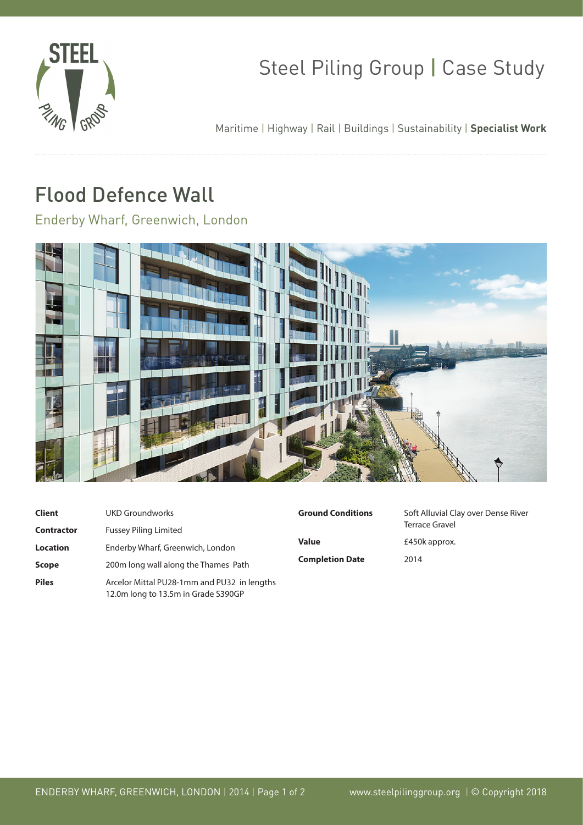

## Steel Piling Group | Case Study

Maritime | Highway | Rail | Buildings | Sustainability | **Specialist Work**

## Flood Defence Wall

Enderby Wharf, Greenwich, London



| <b>Client</b>     | <b>UKD Groundworks</b>                                                             |  |
|-------------------|------------------------------------------------------------------------------------|--|
| <b>Contractor</b> | <b>Fussey Piling Limited</b>                                                       |  |
| <b>Location</b>   | Enderby Wharf, Greenwich, London                                                   |  |
| <b>Scope</b>      | Co<br>200m long wall along the Thames Path                                         |  |
| <b>Piles</b>      | Arcelor Mittal PU28-1mm and PU32 in lengths<br>12.0m long to 13.5m in Grade S390GP |  |

| <b>Ground Conditions</b> |
|--------------------------|
| Value                    |
| <b>Completion Date</b>   |

**Soft Alluvial Clay over Dense River**  Terrace Gravel £450k approx. 2014